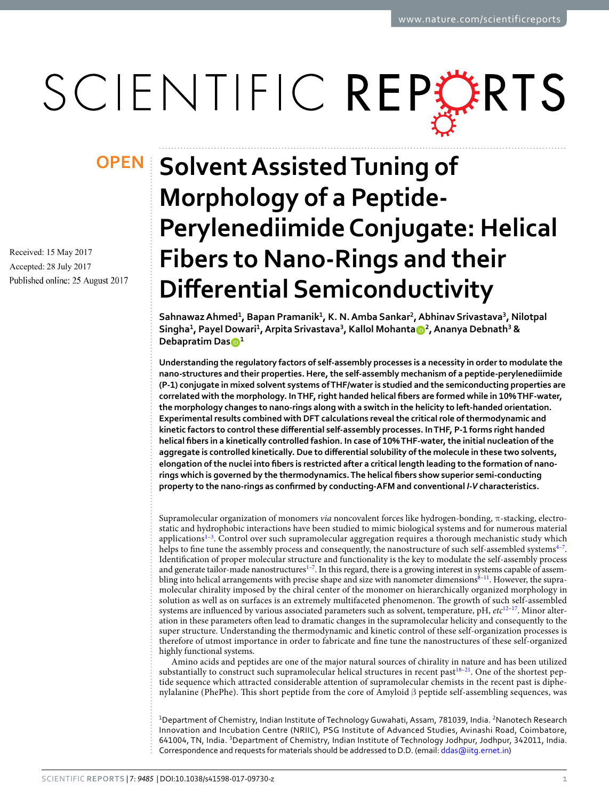# SCIENTIFIC REPERTS

Received: 15 May 2017 Accepted: 28 July 2017 Published online: 25 August 2017

## **OPEN** Solvent Assisted Tuning of **Morphology of a Peptide-Perylenediimide Conjugate: Helical Fibers to Nano-Rings and their Differential Semiconductivity**

**Sahnawaz Ahmed<sup>1</sup> , Bapan Pramanik<sup>1</sup> , K. N. Amba Sankar<sup>2</sup> , Abhinav Srivastava<sup>3</sup> , Nilotpal**   $\frac{1}{2}$ Singha<sup>1</sup>, Payel Dowari<sup>1</sup>, Arpita Srivastava<sup>3</sup>, Kallol Mohanta $\frac{1}{2}$ , Ananya Debnath<sup>3</sup> & **Debapratim Das<sup>1</sup>**

**Understanding the regulatory factors of self-assembly processes is a necessity in order to modulate the nano-structures and their properties. Here, the self-assembly mechanism of a peptide-perylenediimide (P-1) conjugate in mixed solvent systems of THF/water is studied and the semiconducting properties are correlated with the morphology. In THF, right handed helical fibers are formed while in 10% THF-water, the morphology changes to nano-rings along with a switch in the helicity to left-handed orientation. Experimental results combined with DFT calculations reveal the critical role of thermodynamic and kinetic factors to control these differential self-assembly processes. In THF, P-1 forms right handed helical fibers in a kinetically controlled fashion. In case of 10% THF-water, the initial nucleation of the aggregate is controlled kinetically. Due to differential solubility of the molecule in these two solvents, elongation of the nuclei into fibers is restricted after a critical length leading to the formation of nanorings which is governed by the thermodynamics. The helical fibers show superior semi-conducting property to the nano-rings as confirmed by conducting-AFM and conventional** *I-V* **characteristics.**

Supramolecular organization of monomers via noncovalent forces like hydrogen-bonding, π-stacking, electrostatic and hydrophobic interactions have been studied to mimic biological systems and for numerous material applications<sup>[1](#page-11-0)-3</sup>. Control over such supramolecular aggregation requires a thorough mechanistic study which helps to fine tune the assembly process and consequently, the nanostructure of such self-assembled systems $4-7$  $4-7$ . Identification of proper molecular structure and functionality is the key to modulate the self-assembly process and generate tailor-made nanostructures<sup>[1](#page-11-0)-7</sup>. In this regard, there is a growing interest in systems capable of assembling into helical arrangements with precise shape and size with nanometer dimensions $8-11$  $8-11$ . However, the supramolecular chirality imposed by the chiral center of the monomer on hierarchically organized morphology in solution as well as on surfaces is an extremely multifaceted phenomenon. The growth of such self-assembled systems are influenced by various associated parameters such as solvent, temperature, pH,  $etc^{12-17}$  $etc^{12-17}$  $etc^{12-17}$ . Minor alteration in these parameters often lead to dramatic changes in the supramolecular helicity and consequently to the super structure. Understanding the thermodynamic and kinetic control of these self-organization processes is therefore of utmost importance in order to fabricate and fine tune the nanostructures of these self-organized highly functional systems.

Amino acids and peptides are one of the major natural sources of chirality in nature and has been utilized substantially to construct such supramolecular helical structures in recent past $18-21$  $18-21$  $18-21$ . One of the shortest peptide sequence which attracted considerable attention of supramolecular chemists in the recent past is diphenylalanine (PhePhe). This short peptide from the core of Amyloid β peptide self-assembling sequences, was

<sup>1</sup>Department of Chemistry, Indian Institute of Technology Guwahati, Assam, 781039, India. <sup>2</sup>Nanotech Research Innovation and Incubation Centre (NRIIC), PSG Institute of Advanced Studies, Avinashi Road, Coimbatore, 641004, TN, India. <sup>3</sup>Department of Chemistry, Indian Institute of Technology Jodhpur, Jodhpur, 342011, India. Correspondence and requests for materials should be addressed to D.D. (email: [ddas@iitg.ernet.in](mailto:ddas@iitg.ernet.in))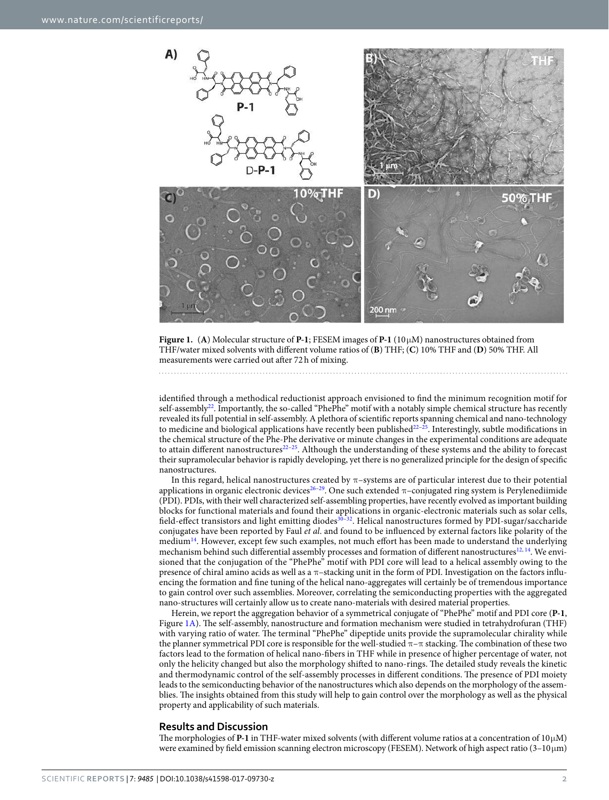

<span id="page-1-0"></span>**Figure 1.** (**A**) Molecular structure of **P-1**; FESEM images of **P-1** (10 µM) nanostructures obtained from THF/water mixed solvents with different volume ratios of (**B**) THF; (**C**) 10% THF and (**D**) 50% THF. All measurements were carried out after 72 h of mixing.

identified through a methodical reductionist approach envisioned to find the minimum recognition motif for self-assembly<sup>[22](#page-11-10)</sup>. Importantly, the so-called "PhePhe" motif with a notably simple chemical structure has recently revealed its full potential in self-assembly. A plethora of scientific reports spanning chemical and nano-technology to medicine and biological applications have recently been published $2^{2-25}$  $2^{2-25}$  $2^{2-25}$ . Interestingly, subtle modifications in the chemical structure of the Phe-Phe derivative or minute changes in the experimental conditions are adequate to attain different nanostructures<sup>[22](#page-11-10)[–25](#page-11-11)</sup>. Although the understanding of these systems and the ability to forecast their supramolecular behavior is rapidly developing, yet there is no generalized principle for the design of specific nanostructures.

In this regard, helical nanostructures created by π–systems are of particular interest due to their potential applications in organic electronic devices<sup>26-[29](#page-11-13)</sup>. One such extended  $\pi$ -conjugated ring system is Perylenediimide (PDI). PDIs, with their well characterized self-assembling properties, have recently evolved as important building blocks for functional materials and found their applications in organic-electronic materials such as solar cells, field-effect transistors and light emitting diodes<sup>[30–](#page-11-14)[32](#page-11-15)</sup>. Helical nanostructures formed by PDI-sugar/saccharide conjugates have been reported by Faul et al. and found to be influenced by external factors like polarity of the medium<sup>[14](#page-11-16)</sup>. However, except few such examples, not much effort has been made to understand the underlying mechanism behind such differential assembly processes and formation of different nanostructures<sup>[12,](#page-11-6) [14](#page-11-16)</sup>. We envisioned that the conjugation of the "PhePhe" motif with PDI core will lead to a helical assembly owing to the presence of chiral amino acids as well as a π–stacking unit in the form of PDI. Investigation on the factors influencing the formation and fine tuning of the helical nano-aggregates will certainly be of tremendous importance to gain control over such assemblies. Moreover, correlating the semiconducting properties with the aggregated nano-structures will certainly allow us to create nano-materials with desired material properties.

Herein, we report the aggregation behavior of a symmetrical conjugate of "PhePhe" motif and PDI core (**P-1**, Figure [1A](#page-1-0)). The self-assembly, nanostructure and formation mechanism were studied in tetrahydrofuran (THF) with varying ratio of water. The terminal "PhePhe" dipeptide units provide the supramolecular chirality while the planner symmetrical PDI core is responsible for the well-studied π–π stacking. The combination of these two factors lead to the formation of helical nano-fibers in THF while in presence of higher percentage of water, not only the helicity changed but also the morphology shifted to nano-rings. The detailed study reveals the kinetic and thermodynamic control of the self-assembly processes in different conditions. The presence of PDI moiety leads to the semiconducting behavior of the nanostructures which also depends on the morphology of the assemblies. The insights obtained from this study will help to gain control over the morphology as well as the physical property and applicability of such materials.

#### **Results and Discussion**

The morphologies of **P-1** in THF-water mixed solvents (with different volume ratios at a concentration of  $10 \mu$ M) were examined by field emission scanning electron microscopy (FESEM). Network of high aspect ratio (3–10  $\mu$ m)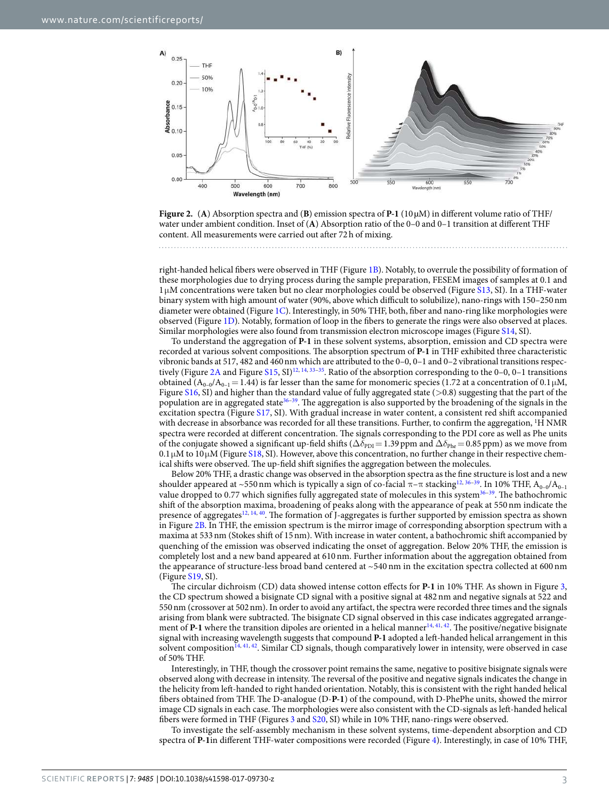

<span id="page-2-0"></span>**Figure 2.** (**A**) Absorption spectra and (**B**) emission spectra of **P-1** (10 µM) in different volume ratio of THF/ water under ambient condition. Inset of (**A**) Absorption ratio of the 0–0 and 0–1 transition at different THF content. All measurements were carried out after 72 h of mixing.

right-handed helical fibers were observed in THF (Figure [1B](#page-1-0)). Notably, to overrule the possibility of formation of these morphologies due to drying process during the sample preparation, FESEM images of samples at 0.1 and 1 µM concentrations were taken but no clear morphologies could be observed (Figure [S13,](http://S13) SI). In a THF-water binary system with high amount of water (90%, above which difficult to solubilize), nano-rings with 150–250 nm diameter were obtained (Figure [1C](#page-1-0)). Interestingly, in 50% THF, both, fiber and nano-ring like morphologies were observed (Figure [1D](#page-1-0)). Notably, formation of loop in the fibers to generate the rings were also observed at places. Similar morphologies were also found from transmission electron microscope images (Figure [S14,](http://S14) SI).

To understand the aggregation of **P-1** in these solvent systems, absorption, emission and CD spectra were recorded at various solvent compositions. The absorption spectrum of **P-1** in THF exhibited three characteristic vibronic bands at 517, 482 and 460 nm which are attributed to the 0–0, 0–1 and 0–2 vibrational transitions respec-tively (Figure [2A](#page-2-0) and Figure [S15,](http://S15) SI)<sup>[12,](#page-11-6) [14](#page-11-16), [33](#page-11-17)[–35](#page-11-18)</sup>. Ratio of the absorption corresponding to the 0–0, 0–1 transitions obtained  $(A_{0-0}/A_{0-1}= 1.44)$  is far lesser than the same for monomeric species (1.72 at a concentration of 0.1  $\mu$ M, Figure [S16,](http://S16) SI) and higher than the standard value of fully aggregated state (>0.8) suggesting that the part of the population are in aggregated state $36-39$  $36-39$  $36-39$ . The aggregation is also supported by the broadening of the signals in the excitation spectra (Figure [S17](http://S17), SI). With gradual increase in water content, a consistent red shift accompanied with decrease in absorbance was recorded for all these transitions. Further, to confirm the aggregation, <sup>1</sup>H NMR spectra were recorded at different concentration. The signals corresponding to the PDI core as well as Phe units of the conjugate showed a significant up-field shifts ( $\Delta \delta_{\text{PDI}}= 1.39$  ppm and  $\Delta \delta_{\text{Phe}}= 0.85$  ppm) as we move from  $0.1\,\upmu\textrm{M}$  to  $10\,\upmu\textrm{M}$  (Figure [S18,](http://S18) SI). However, above this concentration, no further change in their respective chemical shifts were observed. The up-field shift signifies the aggregation between the molecules.

Below 20% THF, a drastic change was observed in the absorption spectra as the fine structure is lost and a new shoulder appeared at ~550 nm which is typically a sign of co-facial  $\pi-\pi$  stacking<sup>[12](#page-11-6), [36](#page-11-19)–[39](#page-12-0)</sup>. In 10% THF, A<sub>0–0</sub>/A<sub>0–1</sub> value dropped to 0.77 which signifies fully aggregated state of molecules in this system<sup>[36](#page-11-19)-39</sup>. The bathochromic shift of the absorption maxima, broadening of peaks along with the appearance of peak at 550 nm indicate the presence of aggregates<sup>[12](#page-11-6), [14,](#page-11-16) [40](#page-12-1)</sup>. The formation of J-aggregates is further supported by emission spectra as shown in Figure [2B](#page-2-0). In THF, the emission spectrum is the mirror image of corresponding absorption spectrum with a maxima at 533 nm (Stokes shift of 15 nm). With increase in water content, a bathochromic shift accompanied by quenching of the emission was observed indicating the onset of aggregation. Below 20% THF, the emission is completely lost and a new band appeared at 610 nm. Further information about the aggregation obtained from the appearance of structure-less broad band centered at ~540 nm in the excitation spectra collected at 600 nm (Figure [S19,](http://S19) SI).

The circular dichroism (CD) data showed intense cotton effects for **P-1** in 10% THF. As shown in Figure [3,](#page-3-0) the CD spectrum showed a bisignate CD signal with a positive signal at 482 nm and negative signals at 522 and 550 nm (crossover at 502 nm). In order to avoid any artifact, the spectra were recorded three times and the signals arising from blank were subtracted. The bisignate CD signal observed in this case indicates aggregated arrangement of **P-1** where the transition dipoles are oriented in a helical manner<sup>[14](#page-11-16), [41](#page-12-2), [42](#page-12-3)</sup>. The positive/negative bisignate signal with increasing wavelength suggests that compound **P-1** adopted a left-handed helical arrangement in this solvent composition<sup>[14,](#page-11-16) [41](#page-12-2), [42](#page-12-3)</sup>. Similar CD signals, though comparatively lower in intensity, were observed in case of 50% THF.

Interestingly, in THF, though the crossover point remains the same, negative to positive bisignate signals were observed along with decrease in intensity. The reversal of the positive and negative signals indicates the change in the helicity from left-handed to right handed orientation. Notably, this is consistent with the right handed helical fibers obtained from THF. The D-analogue (D-**P-1**) of the compound, with D-PhePhe units, showed the mirror image CD signals in each case. The morphologies were also consistent with the CD-signals as left-handed helical fibers were formed in THF (Figures [3](#page-3-0) and [S20](http://S20), SI) while in 10% THF, nano-rings were observed.

To investigate the self-assembly mechanism in these solvent systems, time-dependent absorption and CD spectra of **P-1**in different THF-water compositions were recorded (Figure [4\)](#page-4-0). Interestingly, in case of 10% THF,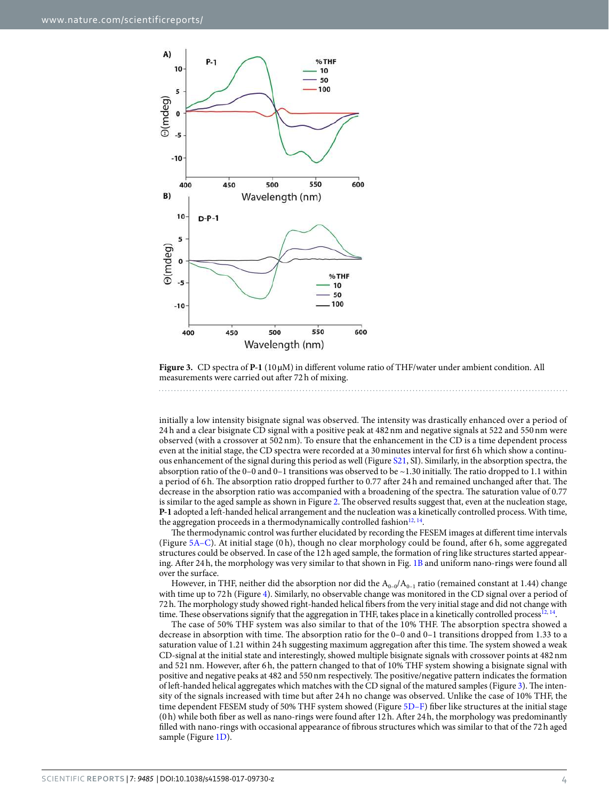

<span id="page-3-0"></span>**Figure 3.** CD spectra of **P-1** (10 µM) in different volume ratio of THF/water under ambient condition. All measurements were carried out after 72 h of mixing.

initially a low intensity bisignate signal was observed. The intensity was drastically enhanced over a period of 24 h and a clear bisignate CD signal with a positive peak at 482 nm and negative signals at 522 and 550 nm were observed (with a crossover at 502 nm). To ensure that the enhancement in the CD is a time dependent process even at the initial stage, the CD spectra were recorded at a 30 minutes interval for first 6 h which show a continuous enhancement of the signal during this period as well (Figure [S21,](http://S21) SI). Similarly, in the absorption spectra, the absorption ratio of the 0–0 and 0–1 transitions was observed to be ~1.30 initially. The ratio dropped to 1.1 within a period of 6 h. The absorption ratio dropped further to 0.77 after 24 h and remained unchanged after that. The decrease in the absorption ratio was accompanied with a broadening of the spectra. The saturation value of 0.77 is similar to the aged sample as shown in Figure [2](#page-2-0). The observed results suggest that, even at the nucleation stage, **P-1** adopted a left-handed helical arrangement and the nucleation was a kinetically controlled process. With time, the aggregation proceeds in a thermodynamically controlled fashion<sup>[12,](#page-11-6) [14](#page-11-16)</sup>.

The thermodynamic control was further elucidated by recording the FESEM images at different time intervals (Figure [5A–C](#page-5-0)). At initial stage (0 h), though no clear morphology could be found, after 6 h, some aggregated structures could be observed. In case of the 12 h aged sample, the formation of ring like structures started appearing. After 24 h, the morphology was very similar to that shown in Fig. [1B](#page-1-0) and uniform nano-rings were found all over the surface.

However, in THF, neither did the absorption nor did the  $A_{0-0}/A_{0-1}$  ratio (remained constant at 1.44) change with time up to 72h (Figure [4](#page-4-0)). Similarly, no observable change was monitored in the CD signal over a period of 72 h. The morphology study showed right-handed helical fibers from the very initial stage and did not change with time. These observations signify that the aggregation in THF, takes place in a kinetically controlled process<sup>[12,](#page-11-6) [14](#page-11-16)</sup>.

The case of 50% THF system was also similar to that of the 10% THF. The absorption spectra showed a decrease in absorption with time. The absorption ratio for the 0–0 and 0–1 transitions dropped from 1.33 to a saturation value of 1.21 within 24 h suggesting maximum aggregation after this time. The system showed a weak CD-signal at the initial state and interestingly, showed multiple bisignate signals with crossover points at 482 nm and 521 nm. However, after 6 h, the pattern changed to that of 10% THF system showing a bisignate signal with positive and negative peaks at 482 and 550 nm respectively. The positive/negative pattern indicates the formation of left-handed helical aggregates which matches with the CD signal of the matured samples (Figure [3\)](#page-3-0). The intensity of the signals increased with time but after 24 h no change was observed. Unlike the case of 10% THF, the time dependent FESEM study of 50% THF system showed (Figure [5D–F](#page-5-0)) fiber like structures at the initial stage (0 h) while both fiber as well as nano-rings were found after 12 h. After 24 h, the morphology was predominantly filled with nano-rings with occasional appearance of fibrous structures which was similar to that of the 72 h aged sample (Figure [1D\)](#page-1-0).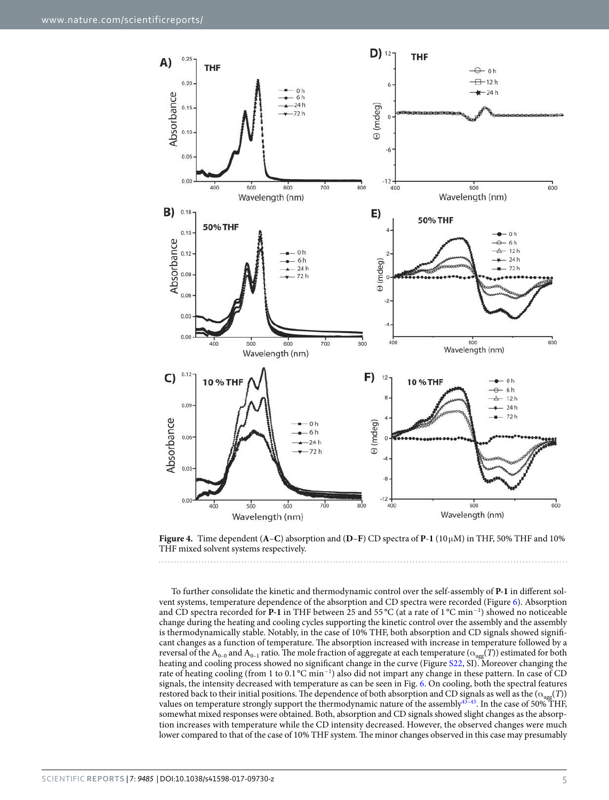

<span id="page-4-0"></span>**Figure 4.** Time dependent (**A**–**C**) absorption and (**D**–**F**) CD spectra of **P**-**1** (10 µM) in THF, 50% THF and 10% THF mixed solvent systems respectively.

To further consolidate the kinetic and thermodynamic control over the self-assembly of **P-1** in different solvent systems, temperature dependence of the absorption and CD spectra were recorded (Figure [6](#page-6-0)). Absorption and CD spectra recorded for **P-1** in THF between 25 and 55 °C (at a rate of 1 °C min<sup>−</sup><sup>1</sup> ) showed no noticeable change during the heating and cooling cycles supporting the kinetic control over the assembly and the assembly is thermodynamically stable. Notably, in the case of 10% THF, both absorption and CD signals showed significant changes as a function of temperature. The absorption increased with increase in temperature followed by a reversal of the A<sub>0–0</sub> and A<sub>0–1</sub> ratio. The mole fraction of aggregate at each temperature ( $\alpha_{\text{agg}}(T)$ ) estimated for both heating and cooling process showed no significant change in the curve (Figure [S22](http://S22), SI). Moreover changing the rate of heating cooling (from 1 to 0.1 °C min<sup>-1</sup>) also did not impart any change in these pattern. In case of CD signals, the intensity decreased with temperature as can be seen in Fig. [6.](#page-6-0) On cooling, both the spectral features restored back to their initial positions. The dependence of both absorption and CD signals as well as the ( $\alpha_{\text{age}}(T)$ ) values on temperature strongly support the thermodynamic nature of the assembly[43](#page-12-4)[–45](#page-12-5). In the case of 50% THF, somewhat mixed responses were obtained. Both, absorption and CD signals showed slight changes as the absorption increases with temperature while the CD intensity decreased. However, the observed changes were much lower compared to that of the case of 10% THF system. The minor changes observed in this case may presumably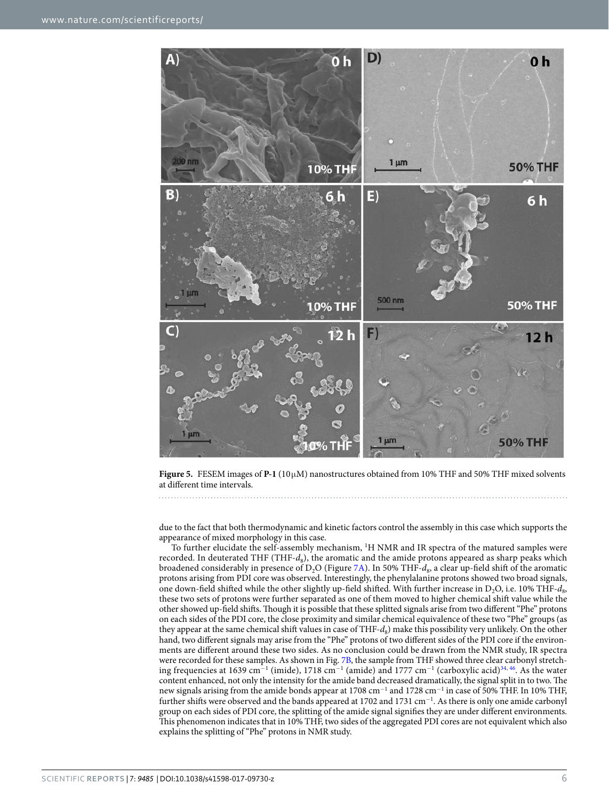

<span id="page-5-0"></span>**Figure 5.** FESEM images of **P-1** (10 µM) nanostructures obtained from 10% THF and 50% THF mixed solvents at different time intervals.

due to the fact that both thermodynamic and kinetic factors control the assembly in this case which supports the appearance of mixed morphology in this case.

To further elucidate the self-assembly mechanism, <sup>1</sup>H NMR and IR spectra of the matured samples were recorded. In deuterated THF (THF- $d_8$ ), the aromatic and the amide protons appeared as sharp peaks which broadened considerably in presence of D<sub>2</sub>O (Figure [7A\)](#page-7-0). In 50% THF- $d_8$ , a clear up-field shift of the aromatic protons arising from PDI core was observed. Interestingly, the phenylalanine protons showed two broad signals, one down-field shifted while the other slightly up-field shifted. With further increase in  $D_2O$ , i.e. 10% THF- $d_8$ , these two sets of protons were further separated as one of them moved to higher chemical shift value while the other showed up-field shifts. Though it is possible that these splitted signals arise from two different "Phe" protons on each sides of the PDI core, the close proximity and similar chemical equivalence of these two "Phe" groups (as they appear at the same chemical shift values in case of  $THF-d_8$ ) make this possibility very unlikely. On the other hand, two different signals may arise from the "Phe" protons of two different sides of the PDI core if the environments are different around these two sides. As no conclusion could be drawn from the NMR study, IR spectra were recorded for these samples. As shown in Fig. [7B](#page-7-0), the sample from THF showed three clear carbonyl stretch-ing frequencies at 1639 cm<sup>−1</sup> (imide), 1718 cm<sup>−1</sup> (amide) and 1777 cm<sup>−1</sup> (carboxylic acid)<sup>[34](#page-11-20), [46](#page-12-6)</sup>. As the water content enhanced, not only the intensity for the amide band decreased dramatically, the signal split in to two. The new signals arising from the amide bonds appear at 1708 cm<sup>-1</sup> and 1728 cm<sup>-1</sup> in case of 50% THF. In 10% THF, further shifts were observed and the bands appeared at 1702 and 1731 cm<sup>-1</sup>. As there is only one amide carbonyl group on each sides of PDI core, the splitting of the amide signal signifies they are under different environments. This phenomenon indicates that in 10% THF, two sides of the aggregated PDI cores are not equivalent which also explains the splitting of "Phe" protons in NMR study.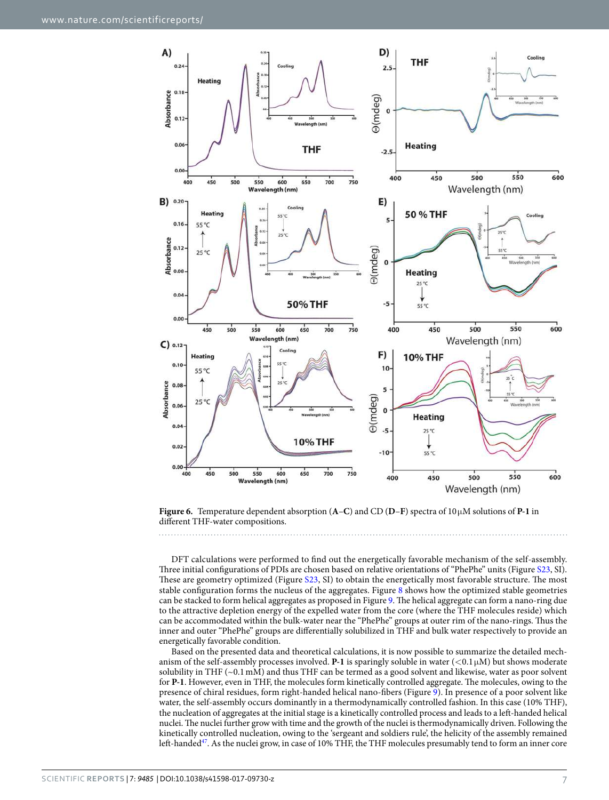

<span id="page-6-0"></span>**Figure 6.** Temperature dependent absorption (**A**–**C**) and CD (**D**–**F**) spectra of 10 µM solutions of **P-1** in different THF-water compositions.

DFT calculations were performed to find out the energetically favorable mechanism of the self-assembly. Three initial configurations of PDIs are chosen based on relative orientations of "PhePhe" units (Figure [S23](http://S23), SI). These are geometry optimized (Figure [S23](http://S23), SI) to obtain the energetically most favorable structure. The most stable configuration forms the nucleus of the aggregates. Figure [8](#page-7-1) shows how the optimized stable geometries can be stacked to form helical aggregates as proposed in Figure [9](#page-8-0). The helical aggregate can form a nano-ring due to the attractive depletion energy of the expelled water from the core (where the THF molecules reside) which can be accommodated within the bulk-water near the "PhePhe" groups at outer rim of the nano-rings. Thus the inner and outer "PhePhe" groups are differentially solubilized in THF and bulk water respectively to provide an energetically favorable condition.

Based on the presented data and theoretical calculations, it is now possible to summarize the detailed mechanism of the self-assembly processes involved. **P-1** is sparingly soluble in water  $(<0.1 \mu M$ ) but shows moderate solubility in THF (~0.1 mM) and thus THF can be termed as a good solvent and likewise, water as poor solvent for **P-1**. However, even in THF, the molecules form kinetically controlled aggregate. The molecules, owing to the presence of chiral residues, form right-handed helical nano-fibers (Figure [9\)](#page-8-0). In presence of a poor solvent like water, the self-assembly occurs dominantly in a thermodynamically controlled fashion. In this case (10% THF), the nucleation of aggregates at the initial stage is a kinetically controlled process and leads to a left-handed helical nuclei. The nuclei further grow with time and the growth of the nuclei is thermodynamically driven. Following the kinetically controlled nucleation, owing to the 'sergeant and soldiers rule', the helicity of the assembly remained left-handed<sup>[47](#page-12-7)</sup>. As the nuclei grow, in case of 10% THF, the THF molecules presumably tend to form an inner core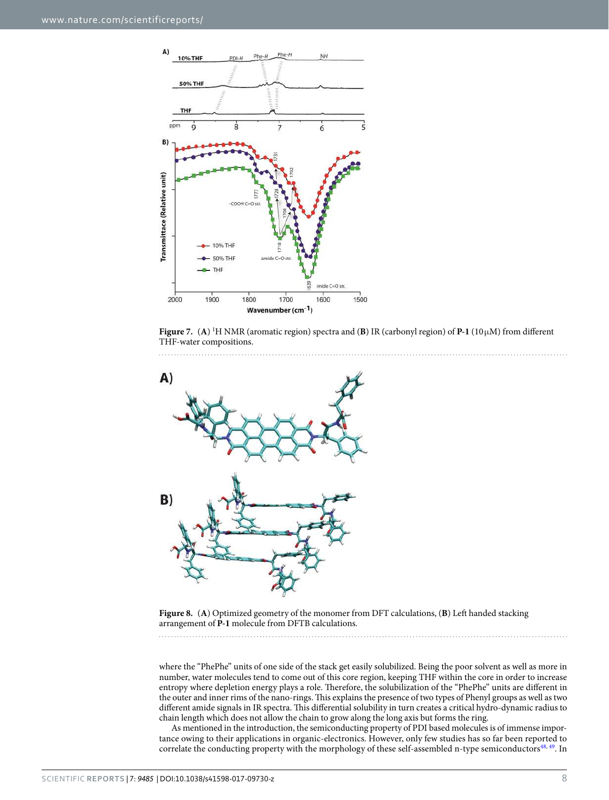

<span id="page-7-0"></span>



<span id="page-7-1"></span>**Figure 8.** (**A**) Optimized geometry of the monomer from DFT calculations, (**B**) Left handed stacking arrangement of **P-1** molecule from DFTB calculations.

where the "PhePhe" units of one side of the stack get easily solubilized. Being the poor solvent as well as more in number, water molecules tend to come out of this core region, keeping THF within the core in order to increase entropy where depletion energy plays a role. Therefore, the solubilization of the "PhePhe" units are different in the outer and inner rims of the nano-rings. This explains the presence of two types of Phenyl groups as well as two different amide signals in IR spectra. This differential solubility in turn creates a critical hydro-dynamic radius to chain length which does not allow the chain to grow along the long axis but forms the ring.

As mentioned in the introduction, the semiconducting property of PDI based molecules is of immense importance owing to their applications in organic-electronics. However, only few studies has so far been reported to correlate the conducting property with the morphology of these self-assembled n-type semiconductors<sup>[48](#page-12-8), [49](#page-12-9)</sup>. In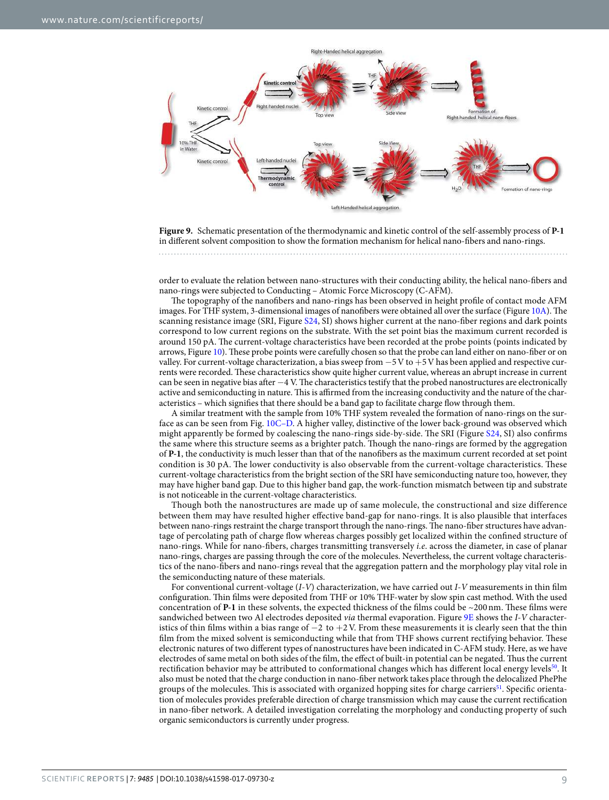

<span id="page-8-0"></span>**Figure 9.** Schematic presentation of the thermodynamic and kinetic control of the self-assembly process of **P-1** in different solvent composition to show the formation mechanism for helical nano-fibers and nano-rings.

order to evaluate the relation between nano-structures with their conducting ability, the helical nano-fibers and nano-rings were subjected to Conducting – Atomic Force Microscopy (C-AFM).

The topography of the nanofibers and nano-rings has been observed in height profile of contact mode AFM images. For THF system, 3-dimensional images of nanofibers were obtained all over the surface (Figure [10A](#page-9-0)). The scanning resistance image (SRI, Figure [S24,](http://S24) SI) shows higher current at the nano-fiber regions and dark points correspond to low current regions on the substrate. With the set point bias the maximum current recorded is around 150 pA. The current-voltage characteristics have been recorded at the probe points (points indicated by arrows, Figure [10\)](#page-9-0). These probe points were carefully chosen so that the probe can land either on nano-fiber or on valley. For current-voltage characterization, a bias sweep from −5 V to +5 V has been applied and respective currents were recorded. These characteristics show quite higher current value, whereas an abrupt increase in current can be seen in negative bias after −4 V. The characteristics testify that the probed nanostructures are electronically active and semiconducting in nature. This is affirmed from the increasing conductivity and the nature of the characteristics – which signifies that there should be a band gap to facilitate charge flow through them.

A similar treatment with the sample from 10% THF system revealed the formation of nano-rings on the surface as can be seen from Fig. [10C–D](#page-9-0). A higher valley, distinctive of the lower back-ground was observed which might apparently be formed by coalescing the nano-rings side-by-side. The SRI (Figure [S24,](http://S24) SI) also confirms the same where this structure seems as a brighter patch. Though the nano-rings are formed by the aggregation of **P-1**, the conductivity is much lesser than that of the nanofibers as the maximum current recorded at set point condition is 30 pA. The lower conductivity is also observable from the current-voltage characteristics. These current-voltage characteristics from the bright section of the SRI have semiconducting nature too, however, they may have higher band gap. Due to this higher band gap, the work-function mismatch between tip and substrate is not noticeable in the current-voltage characteristics.

Though both the nanostructures are made up of same molecule, the constructional and size difference between them may have resulted higher effective band-gap for nano-rings. It is also plausible that interfaces between nano-rings restraint the charge transport through the nano-rings. The nano-fiber structures have advantage of percolating path of charge flow whereas charges possibly get localized within the confined structure of nano-rings. While for nano-fibers, charges transmitting transversely i.e. across the diameter, in case of planar nano-rings, charges are passing through the core of the molecules. Nevertheless, the current voltage characteristics of the nano-fibers and nano-rings reveal that the aggregation pattern and the morphology play vital role in the semiconducting nature of these materials.

For conventional current-voltage (I-V) characterization, we have carried out I-V measurements in thin film configuration. Thin films were deposited from THF or 10% THF-water by slow spin cast method. With the used concentration of **P-1** in these solvents, the expected thickness of the films could be ~200 nm. These films were sandwiched between two Al electrodes deposited *via* thermal evaporation. Figure [9E](#page-8-0) shows the *I-V* characteristics of thin films within a bias range of  $-2$  to  $+2$  V. From these measurements it is clearly seen that the thin film from the mixed solvent is semiconducting while that from THF shows current rectifying behavior. These electronic natures of two different types of nanostructures have been indicated in C-AFM study. Here, as we have electrodes of same metal on both sides of the film, the effect of built-in potential can be negated. Thus the current rectification behavior may be attributed to conformational changes which has different local energy levels<sup>[50](#page-12-10)</sup>. It also must be noted that the charge conduction in nano-fiber network takes place through the delocalized PhePhe groups of the molecules. This is associated with organized hopping sites for charge carriers<sup>[51](#page-12-11)</sup>. Specific orientation of molecules provides preferable direction of charge transmission which may cause the current rectification in nano-fiber network. A detailed investigation correlating the morphology and conducting property of such organic semiconductors is currently under progress.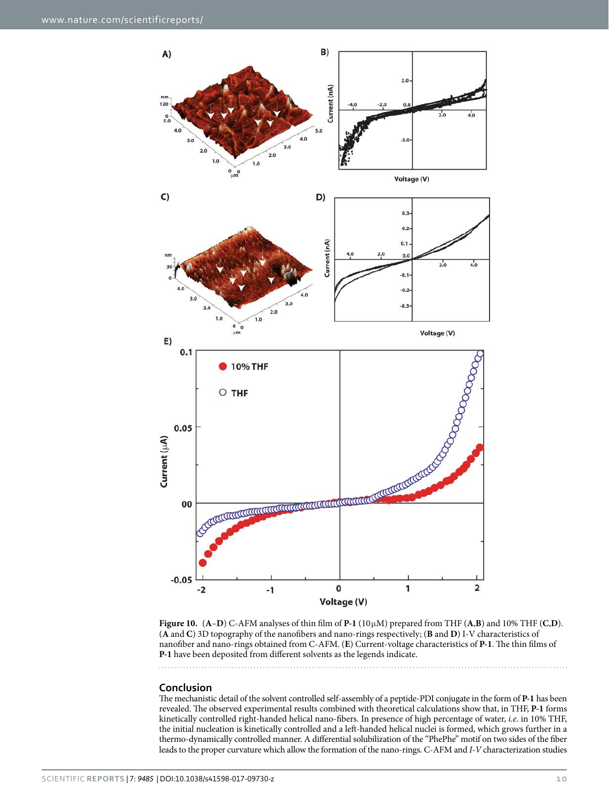

<span id="page-9-0"></span>**Figure 10.**  $(A-D)$  C-AFM analyses of thin film of **P-1** (10 $\mu$ M) prepared from THF  $(A,B)$  and 10% THF  $(C,D)$ . (**A** and **C**) 3D topography of the nanofibers and nano-rings respectively; (**B** and **D**) I-V characteristics of nanofiber and nano-rings obtained from C-AFM. (**E**) Current-voltage characteristics of **P-1**. The thin films of **P-1** have been deposited from different solvents as the legends indicate.

#### **Conclusion**

The mechanistic detail of the solvent controlled self-assembly of a peptide-PDI conjugate in the form of **P-1** has been revealed. The observed experimental results combined with theoretical calculations show that, in THF, **P-1** forms kinetically controlled right-handed helical nano-fibers. In presence of high percentage of water, i.e. in 10% THF, the initial nucleation is kinetically controlled and a left-handed helical nuclei is formed, which grows further in a thermo-dynamically controlled manner. A differential solubilization of the "PhePhe" motif on two sides of the fiber leads to the proper curvature which allow the formation of the nano-rings. C-AFM and I-V characterization studies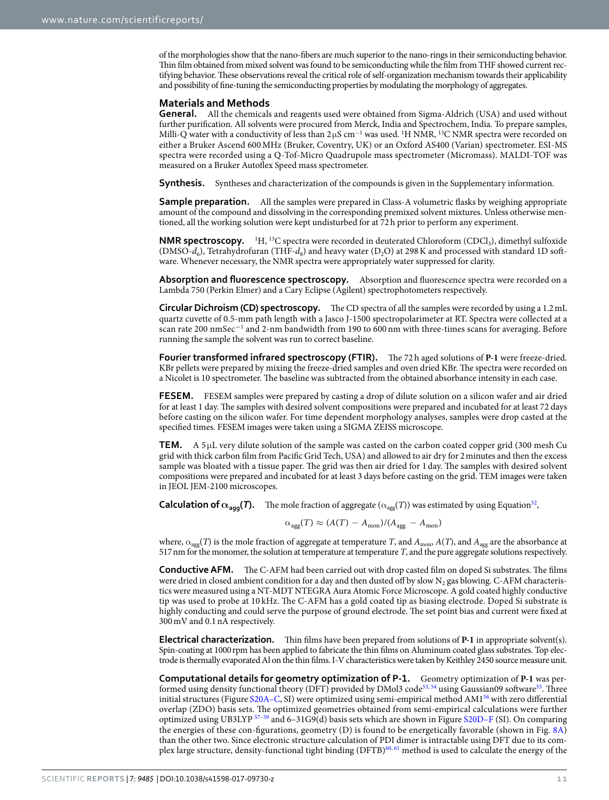of the morphologies show that the nano-fibers are much superior to the nano-rings in their semiconducting behavior. Thin film obtained from mixed solvent was found to be semiconducting while the film from THF showed current rectifying behavior. These observations reveal the critical role of self-organization mechanism towards their applicability and possibility of fine-tuning the semiconducting properties by modulating the morphology of aggregates.

#### **Materials and Methods**

**General.** All the chemicals and reagents used were obtained from Sigma-Aldrich (USA) and used without further purification. All solvents were procured from Merck, India and Spectrochem, India. To prepare samples, Milli-Q water with a conductivity of less than 2µS cm<sup>−1</sup> was used. <sup>1</sup>H NMR, <sup>13</sup>C NMR spectra were recorded on either a Bruker Ascend 600 MHz (Bruker, Coventry, UK) or an Oxford AS400 (Varian) spectrometer. ESI-MS spectra were recorded using a Q-Tof-Micro Quadrupole mass spectrometer (Micromass). MALDI-TOF was measured on a Bruker Autoflex Speed mass spectrometer.

**Synthesis.** Syntheses and characterization of the compounds is given in the Supplementary information.

**Sample preparation.** All the samples were prepared in Class-A volumetric flasks by weighing appropriate amount of the compound and dissolving in the corresponding premixed solvent mixtures. Unless otherwise mentioned, all the working solution were kept undisturbed for at 72 h prior to perform any experiment.

**NMR spectroscopy.** <sup>1</sup>H, <sup>13</sup>C spectra were recorded in deuterated Chloroform (CDCl<sub>3</sub>), dimethyl sulfoxide (DMSO- $d_6$ ), Tetrahydrofuran (THF- $d_8$ ) and heavy water (D<sub>2</sub>O) at 298 K and processed with standard 1D software. Whenever necessary, the NMR spectra were appropriately water suppressed for clarity.

**Absorption and fluorescence spectroscopy.** Absorption and fluorescence spectra were recorded on a Lambda 750 (Perkin Elmer) and a Cary Eclipse (Agilent) spectrophotometers respectively.

**Circular Dichroism (CD) spectroscopy.** The CD spectra of all the samples were recorded by using a 1.2 mL quartz cuvette of 0.5-mm path length with a Jasco J-1500 spectropolarimeter at RT. Spectra were collected at a scan rate 200 nmSec**<sup>−</sup>**<sup>1</sup> and 2-nm bandwidth from 190 to 600 nm with three-times scans for averaging. Before running the sample the solvent was run to correct baseline.

**Fourier transformed infrared spectroscopy (FTIR).** The 72 h aged solutions of **P-1** were freeze-dried. KBr pellets were prepared by mixing the freeze-dried samples and oven dried KBr. The spectra were recorded on a Nicolet is 10 spectrometer. The baseline was subtracted from the obtained absorbance intensity in each case.

**FESEM.** FESEM samples were prepared by casting a drop of dilute solution on a silicon wafer and air dried for at least 1 day. The samples with desired solvent compositions were prepared and incubated for at least 72 days before casting on the silicon wafer. For time dependent morphology analyses, samples were drop casted at the specified times. FESEM images were taken using a SIGMA ZEISS microscope.

**TEM.** A 5 µL very dilute solution of the sample was casted on the carbon coated copper grid (300 mesh Cu grid with thick carbon film from Pacific Grid Tech, USA) and allowed to air dry for 2 minutes and then the excess sample was bloated with a tissue paper. The grid was then air dried for 1 day. The samples with desired solvent compositions were prepared and incubated for at least 3 days before casting on the grid. TEM images were taken in JEOL JEM-2100 microscopes.

**Calculation of**  $\alpha_{\text{agg}}(T)$ **.** The mole fraction of aggregate ( $\alpha_{\text{agg}}(T)$ ) was estimated by using Equation<sup>[52](#page-12-12)</sup>,

$$
\alpha_{\text{agg}}(T) \approx (A(T) - A_{\text{mon}})/(A_{\text{agg}} - A_{\text{mon}})
$$

where,  $\alpha_{\text{agg}}(T)$  is the mole fraction of aggregate at temperature T, and  $A_{\text{mon}}$ ,  $A(T)$ , and  $A_{\text{agg}}$  are the absorbance at 517 nm for the monomer, the solution at temperature at temperature T, and the pure aggregate solutions respectively.

**Conductive AFM.** The C-AFM had been carried out with drop casted film on doped Si substrates. The films were dried in closed ambient condition for a day and then dusted off by slow  $\rm N_2$  gas blowing. C-AFM characteristics were measured using a NT-MDT NTEGRA Aura Atomic Force Microscope. A gold coated highly conductive tip was used to probe at 10 kHz. The C-AFM has a gold coated tip as biasing electrode. Doped Si substrate is highly conducting and could serve the purpose of ground electrode. The set point bias and current were fixed at 300 mV and 0.1 nA respectively.

**Electrical characterization.** Thin films have been prepared from solutions of **P-1** in appropriate solvent(s). Spin-coating at 1000 rpm has been applied to fabricate the thin films on Aluminum coated glass substrates. Top electrode is thermally evaporated Al on the thin films. I-V characteristics were taken by Keithley 2450 source measure unit.

**Computational details for geometry optimization of P-1.** Geometry optimization of **P-1** was per-formed using density functional theory (DFT) provided by DMol3 code<sup>[53,](#page-12-13) [54](#page-12-14)</sup> using Gaussian09 software<sup>[55](#page-12-15)</sup>. Three initial structures (Figure [S20A–C,](http://S20A�C) SI) were optimized using semi-empirical method AM1<sup>[56](#page-12-16)</sup> with zero differential overlap (ZDO) basis sets. The optimized geometries obtained from semi-empirical calculations were further optimized using UB3LYP [57](#page-12-17)-[59](#page-12-18) and 6-31G9(d) basis sets which are shown in Figure S20D-F (SI). On comparing the energies of these con-figurations, geometry (D) is found to be energetically favorable (shown in Fig. [8A\)](#page-7-1) than the other two. Since electronic structure calculation of PDI dimer is intractable using DFT due to its com-plex large structure, density-functional tight binding (DFTB)<sup>[60,](#page-12-19) [61](#page-12-20)</sup> method is used to calculate the energy of the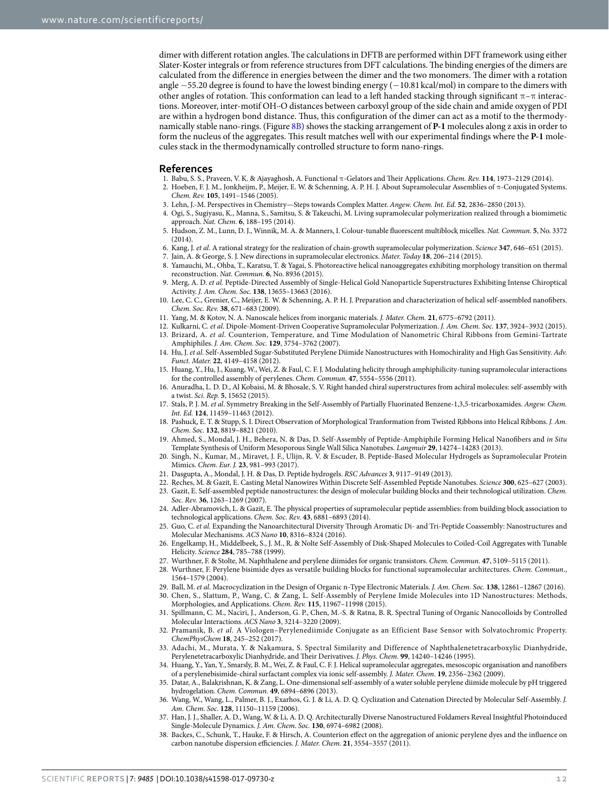dimer with different rotation angles. The calculations in DFTB are performed within DFT framework using either Slater-Koster integrals or from reference structures from DFT calculations. The binding energies of the dimers are calculated from the difference in energies between the dimer and the two monomers. The dimer with a rotation angle −55.20 degree is found to have the lowest binding energy (−10.81 kcal/mol) in compare to the dimers with other angles of rotation. This conformation can lead to a left handed stacking through significant  $\pi-\pi$  interactions. Moreover, inter-motif OH··O distances between carboxyl group of the side chain and amide oxygen of PDI are within a hydrogen bond distance. Thus, this configuration of the dimer can act as a motif to the thermodynamically stable nano-rings. (Figure [8B\)](#page-7-1) shows the stacking arrangement of **P-1** molecules along z axis in order to form the nucleus of the aggregates. This result matches well with our experimental findings where the **P-1** molecules stack in the thermodynamically controlled structure to form nano-rings.

#### **References**

- <span id="page-11-0"></span>1. Babu, S. S., Praveen, V. K. & Ajayaghosh, A. Functional π-Gelators and Their Applications. Chem. Rev. **114**, 1973–2129 (2014).
- 2. Hoeben, F. J. M., Jonkheijm, P., Meijer, E. W. & Schenning, A. P. H. J. About Supramolecular Assemblies of π-Conjugated Systems. Chem. Rev. **105**, 1491–1546 (2005).
- <span id="page-11-1"></span>3. Lehn, J.-M. Perspectives in Chemistry—Steps towards Complex Matter. Angew. Chem. Int. Ed. **52**, 2836–2850 (2013).
- <span id="page-11-2"></span> 4. Ogi, S., Sugiyasu, K., Manna, S., Samitsu, S. & Takeuchi, M. Living supramolecular polymerization realized through a biomimetic approach. Nat. Chem. **6**, 188–195 (2014).
- 5. Hudson, Z. M., Lunn, D. J., Winnik, M. A. & Manners, I. Colour-tunable fluorescent multiblock micelles. Nat. Commun. **5**, No. 3372  $(2014)$
- 6. Kang, J. et al. A rational strategy for the realization of chain-growth supramolecular polymerization. Science **347**, 646–651 (2015).
- <span id="page-11-3"></span>7. Jain, A. & George, S. J. New directions in supramolecular electronics. Mater. Today **18**, 206–214 (2015).
- <span id="page-11-4"></span> 8. Yamauchi, M., Ohba, T., Karatsu, T. & Yagai, S. Photoreactive helical nanoaggregates exhibiting morphology transition on thermal reconstruction. Nat. Commun. **6**, No. 8936 (2015).
- 9. Merg, A. D. et al. Peptide-Directed Assembly of Single-Helical Gold Nanoparticle Superstructures Exhibiting Intense Chiroptical Activity. J. Am. Chem. Soc. **138**, 13655–13663 (2016).
- 10. Lee, C. C., Grenier, C., Meijer, E. W. & Schenning, A. P. H. J. Preparation and characterization of helical self-assembled nanofibers. Chem. Soc. Rev. **38**, 671–683 (2009).
- <span id="page-11-5"></span>11. Yang, M. & Kotov, N. A. Nanoscale helices from inorganic materials. J. Mater. Chem. **21**, 6775–6792 (2011).
- <span id="page-11-6"></span> 12. Kulkarni, C. et al. Dipole-Moment-Driven Cooperative Supramolecular Polymerization. J. Am. Chem. Soc. **137**, 3924–3932 (2015). 13. Brizard, A. et al. Counterion, Temperature, and Time Modulation of Nanometric Chiral Ribbons from Gemini-Tartrate Amphiphiles. J. Am. Chem. Soc. **129**, 3754–3762 (2007).
- <span id="page-11-16"></span>14. Hu, J. et al. Self-Assembled Sugar-Substituted Perylene Diimide Nanostructures with Homochirality and High Gas Sensitivity. Adv. Funct. Mater. **22**, 4149–4158 (2012).
- 15. Huang, Y., Hu, J., Kuang, W., Wei, Z. & Faul, C. F. J. Modulating helicity through amphiphilicity-tuning supramolecular interactions for the controlled assembly of perylenes. Chem. Commun. **47**, 5554–5556 (2011).
- 16. Anuradha, L. D. D., Al Kobaisi, M. & Bhosale, S. V. Right handed chiral superstructures from achiral molecules: self-assembly with a twist. Sci. Rep. **5**, 15652 (2015).
- <span id="page-11-7"></span>17. Stals, P. J. M. et al. Symmetry Breaking in the Self-Assembly of Partially Fluorinated Benzene-1,3,5-tricarboxamides. Angew. Chem. Int. Ed. **124**, 11459–11463 (2012).
- <span id="page-11-8"></span>18. Pashuck, E. T. & Stupp, S. I. Direct Observation of Morphological Tranformation from Twisted Ribbons into Helical Ribbons. J. Am. Chem. Soc. **132**, 8819–8821 (2010).
- 19. Ahmed, S., Mondal, J. H., Behera, N. & Das, D. Self-Assembly of Peptide-Amphiphile Forming Helical Nanofibers and in Situ Template Synthesis of Uniform Mesoporous Single Wall Silica Nanotubes. Langmuir **29**, 14274–14283 (2013).
- 20. Singh, N., Kumar, M., Miravet, J. F., Ulijn, R. V. & Escuder, B. Peptide-Based Molecular Hydrogels as Supramolecular Protein Mimics. Chem. Eur. J. **23**, 981–993 (2017).
- <span id="page-11-9"></span>21. Dasgupta, A., Mondal, J. H. & Das, D. Peptide hydrogels. RSC Advances **3**, 9117–9149 (2013).
- <span id="page-11-10"></span>22. Reches, M. & Gazit, E. Casting Metal Nanowires Within Discrete Self-Assembled Peptide Nanotubes. Science **300**, 625–627 (2003).
- 23. Gazit, E. Self-assembled peptide nanostructures: the design of molecular building blocks and their technological utilization. Chem. Soc. Rev. **36**, 1263–1269 (2007).
- 24. Adler-Abramovich, L. & Gazit, E. The physical properties of supramolecular peptide assemblies: from building block association to technological applications. Chem. Soc. Rev. **43**, 6881–6893 (2014).
- <span id="page-11-11"></span>25. Guo, C. et al. Expanding the Nanoarchitectural Diversity Through Aromatic Di- and Tri-Peptide Coassembly: Nanostructures and Molecular Mechanisms. ACS Nano **10**, 8316–8324 (2016).
- <span id="page-11-12"></span> 26. Engelkamp, H., Middelbeek, S., J. M., R. & Nolte Self-Assembly of Disk-Shaped Molecules to Coiled-Coil Aggregates with Tunable Helicity. Science **284**, 785–788 (1999).
- 27. Wurthner, F. & Stolte, M. Naphthalene and perylene diimides for organic transistors. Chem. Commun. **47**, 5109–5115 (2011).
- 28. Wurthner, F. Perylene bisimide dyes as versatile building blocks for functional supramolecular architectures. Chem. Commun., 1564–1579 (2004).
- <span id="page-11-13"></span>29. Ball, M. et al. Macrocyclization in the Design of Organic n-Type Electronic Materials. J. Am. Chem. Soc. **138**, 12861–12867 (2016).
- <span id="page-11-14"></span> 30. Chen, S., Slattum, P., Wang, C. & Zang, L. Self-Assembly of Perylene Imide Molecules into 1D Nanostructures: Methods, Morphologies, and Applications. Chem. Rev. **115**, 11967–11998 (2015).
- 31. Spillmann, C. M., Naciri, J., Anderson, G. P., Chen, M.-S. & Ratna, B. R. Spectral Tuning of Organic Nanocolloids by Controlled Molecular Interactions. ACS Nano **3**, 3214–3220 (2009).
- <span id="page-11-15"></span> 32. Pramanik, B. et al. A Viologen–Perylenediimide Conjugate as an Efficient Base Sensor with Solvatochromic Property. ChemPhysChem **18**, 245–252 (2017).
- <span id="page-11-17"></span> 33. Adachi, M., Murata, Y. & Nakamura, S. Spectral Similarity and Difference of Naphthalenetetracarboxylic Dianhydride, Perylenetetracarboxylic Dianhydride, and Their Derivatives. J. Phys. Chem. **99**, 14240–14246 (1995).
- <span id="page-11-20"></span> 34. Huang, Y., Yan, Y., Smarsly, B. M., Wei, Z. & Faul, C. F. J. Helical supramolecular aggregates, mesoscopic organisation and nanofibers of a perylenebisimide-chiral surfactant complex via ionic self-assembly. J. Mater. Chem. **19**, 2356–2362 (2009).
- <span id="page-11-18"></span> 35. Datar, A., Balakrishnan, K. & Zang, L. One-dimensional self-assembly of a water soluble perylene diimide molecule by pH triggered hydrogelation. Chem. Commun. **49**, 6894–6896 (2013).
- <span id="page-11-19"></span> 36. Wang, W., Wang, L., Palmer, B. J., Exarhos, G. J. & Li, A. D. Q. Cyclization and Catenation Directed by Molecular Self-Assembly. J. Am. Chem. Soc. **128**, 11150–11159 (2006).
- 37. Han, J. J., Shaller, A. D., Wang, W. & Li, A. D. Q. Architecturally Diverse Nanostructured Foldamers Reveal Insightful Photoinduced Single-Molecule Dynamics. J. Am. Chem. Soc. **130**, 6974–6982 (2008).
- 38. Backes, C., Schunk, T., Hauke, F. & Hirsch, A. Counterion effect on the aggregation of anionic perylene dyes and the influence on carbon nanotube dispersion efficiencies. J. Mater. Chem. **21**, 3554–3557 (2011).